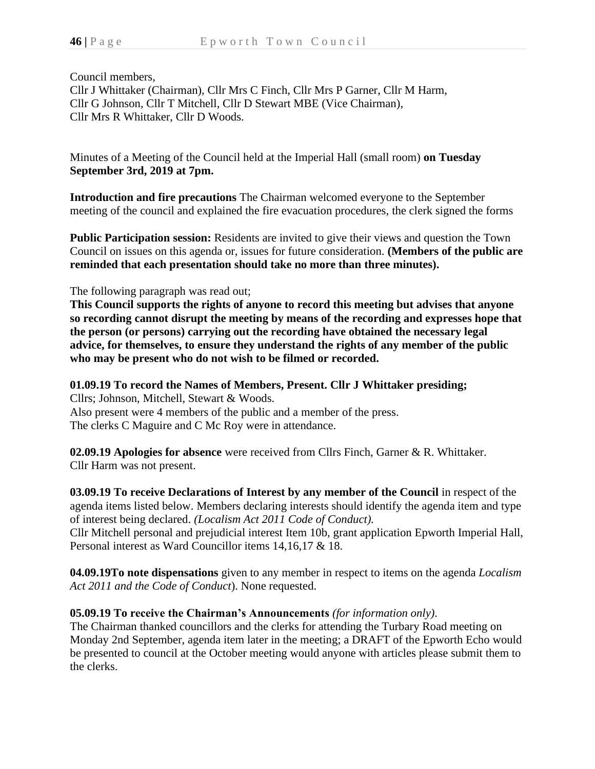Council members, Cllr J Whittaker (Chairman), Cllr Mrs C Finch, Cllr Mrs P Garner, Cllr M Harm, Cllr G Johnson, Cllr T Mitchell, Cllr D Stewart MBE (Vice Chairman), Cllr Mrs R Whittaker, Cllr D Woods.

Minutes of a Meeting of the Council held at the Imperial Hall (small room) **on Tuesday September 3rd, 2019 at 7pm.**

**Introduction and fire precautions** The Chairman welcomed everyone to the September meeting of the council and explained the fire evacuation procedures, the clerk signed the forms

**Public Participation session:** Residents are invited to give their views and question the Town Council on issues on this agenda or, issues for future consideration. **(Members of the public are reminded that each presentation should take no more than three minutes).**

The following paragraph was read out;

**This Council supports the rights of anyone to record this meeting but advises that anyone so recording cannot disrupt the meeting by means of the recording and expresses hope that the person (or persons) carrying out the recording have obtained the necessary legal advice, for themselves, to ensure they understand the rights of any member of the public who may be present who do not wish to be filmed or recorded.**

# **01.09.19 To record the Names of Members, Present. Cllr J Whittaker presiding;**

Cllrs; Johnson, Mitchell, Stewart & Woods. Also present were 4 members of the public and a member of the press. The clerks C Maguire and C Mc Roy were in attendance.

**02.09.19 Apologies for absence** were received from Cllrs Finch, Garner & R. Whittaker. Cllr Harm was not present.

**03.09.19 To receive Declarations of Interest by any member of the Council** in respect of the agenda items listed below. Members declaring interests should identify the agenda item and type of interest being declared. *(Localism Act 2011 Code of Conduct).*

Cllr Mitchell personal and prejudicial interest Item 10b, grant application Epworth Imperial Hall, Personal interest as Ward Councillor items 14,16,17 & 18.

**04.09.19To note dispensations** given to any member in respect to items on the agenda *Localism Act 2011 and the Code of Conduct*). None requested.

# **05.09.19 To receive the Chairman's Announcements** *(for information only)*.

The Chairman thanked councillors and the clerks for attending the Turbary Road meeting on Monday 2nd September, agenda item later in the meeting; a DRAFT of the Epworth Echo would be presented to council at the October meeting would anyone with articles please submit them to the clerks.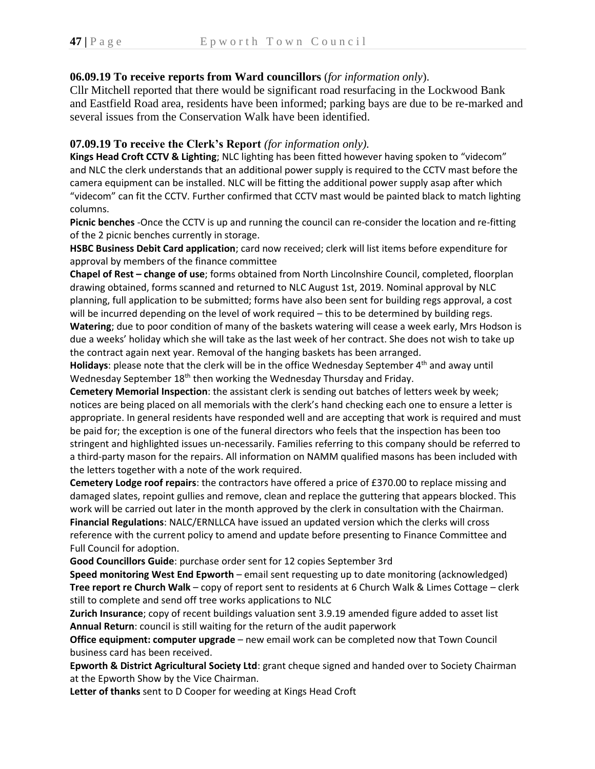# **06.09.19 To receive reports from Ward councillors** (*for information only*).

Cllr Mitchell reported that there would be significant road resurfacing in the Lockwood Bank and Eastfield Road area, residents have been informed; parking bays are due to be re-marked and several issues from the Conservation Walk have been identified.

### **07.09.19 To receive the Clerk's Report** *(for information only).*

**Kings Head Croft CCTV & Lighting**; NLC lighting has been fitted however having spoken to "videcom" and NLC the clerk understands that an additional power supply is required to the CCTV mast before the camera equipment can be installed. NLC will be fitting the additional power supply asap after which "videcom" can fit the CCTV. Further confirmed that CCTV mast would be painted black to match lighting columns.

**Picnic benches** -Once the CCTV is up and running the council can re-consider the location and re-fitting of the 2 picnic benches currently in storage.

**HSBC Business Debit Card application**; card now received; clerk will list items before expenditure for approval by members of the finance committee

**Chapel of Rest – change of use**; forms obtained from North Lincolnshire Council, completed, floorplan drawing obtained, forms scanned and returned to NLC August 1st, 2019. Nominal approval by NLC planning, full application to be submitted; forms have also been sent for building regs approval, a cost will be incurred depending on the level of work required – this to be determined by building regs.

**Watering**; due to poor condition of many of the baskets watering will cease a week early, Mrs Hodson is due a weeks' holiday which she will take as the last week of her contract. She does not wish to take up the contract again next year. Removal of the hanging baskets has been arranged.

**Holidays**: please note that the clerk will be in the office Wednesday September 4<sup>th</sup> and away until Wednesday September 18<sup>th</sup> then working the Wednesday Thursday and Friday.

**Cemetery Memorial Inspection**: the assistant clerk is sending out batches of letters week by week; notices are being placed on all memorials with the clerk's hand checking each one to ensure a letter is appropriate. In general residents have responded well and are accepting that work is required and must be paid for; the exception is one of the funeral directors who feels that the inspection has been too stringent and highlighted issues un-necessarily. Families referring to this company should be referred to a third-party mason for the repairs. All information on NAMM qualified masons has been included with the letters together with a note of the work required.

**Cemetery Lodge roof repairs**: the contractors have offered a price of £370.00 to replace missing and damaged slates, repoint gullies and remove, clean and replace the guttering that appears blocked. This work will be carried out later in the month approved by the clerk in consultation with the Chairman. **Financial Regulations**: NALC/ERNLLCA have issued an updated version which the clerks will cross reference with the current policy to amend and update before presenting to Finance Committee and Full Council for adoption.

**Good Councillors Guide**: purchase order sent for 12 copies September 3rd

**Speed monitoring West End Epworth** – email sent requesting up to date monitoring (acknowledged) **Tree report re Church Walk** – copy of report sent to residents at 6 Church Walk & Limes Cottage – clerk still to complete and send off tree works applications to NLC

**Zurich Insurance**; copy of recent buildings valuation sent 3.9.19 amended figure added to asset list **Annual Return**: council is still waiting for the return of the audit paperwork

**Office equipment: computer upgrade** – new email work can be completed now that Town Council business card has been received.

**Epworth & District Agricultural Society Ltd**: grant cheque signed and handed over to Society Chairman at the Epworth Show by the Vice Chairman.

**Letter of thanks** sent to D Cooper for weeding at Kings Head Croft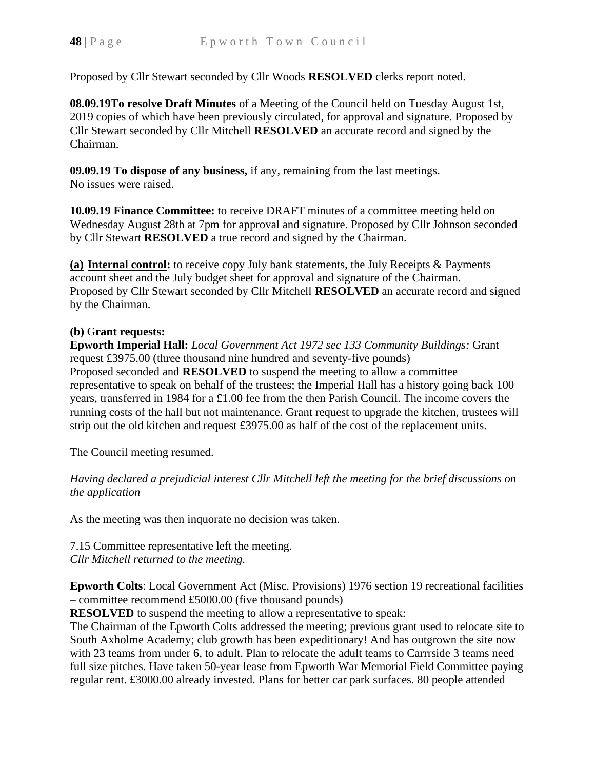Proposed by Cllr Stewart seconded by Cllr Woods **RESOLVED** clerks report noted.

**08.09.19To resolve Draft Minutes** of a Meeting of the Council held on Tuesday August 1st, 2019 copies of which have been previously circulated, for approval and signature. Proposed by Cllr Stewart seconded by Cllr Mitchell **RESOLVED** an accurate record and signed by the Chairman.

**09.09.19 To dispose of any business,** if any, remaining from the last meetings. No issues were raised.

**10.09.19 Finance Committee:** to receive DRAFT minutes of a committee meeting held on Wednesday August 28th at 7pm for approval and signature. Proposed by Cllr Johnson seconded by Cllr Stewart **RESOLVED** a true record and signed by the Chairman.

**(a) Internal control:** to receive copy July bank statements, the July Receipts & Payments account sheet and the July budget sheet for approval and signature of the Chairman. Proposed by Cllr Stewart seconded by Cllr Mitchell **RESOLVED** an accurate record and signed by the Chairman.

### **(b)** G**rant requests:**

**Epworth Imperial Hall:** *Local Government Act 1972 sec 133 Community Buildings:* Grant request £3975.00 (three thousand nine hundred and seventy-five pounds) Proposed seconded and **RESOLVED** to suspend the meeting to allow a committee representative to speak on behalf of the trustees; the Imperial Hall has a history going back 100 years, transferred in 1984 for a £1.00 fee from the then Parish Council. The income covers the running costs of the hall but not maintenance. Grant request to upgrade the kitchen, trustees will strip out the old kitchen and request £3975.00 as half of the cost of the replacement units.

The Council meeting resumed.

*Having declared a prejudicial interest Cllr Mitchell left the meeting for the brief discussions on the application*

As the meeting was then inquorate no decision was taken.

7.15 Committee representative left the meeting. *Cllr Mitchell returned to the meeting.*

**Epworth Colts**: Local Government Act (Misc. Provisions) 1976 section 19 recreational facilities – committee recommend £5000.00 (five thousand pounds)

**RESOLVED** to suspend the meeting to allow a representative to speak:

The Chairman of the Epworth Colts addressed the meeting; previous grant used to relocate site to South Axholme Academy; club growth has been expeditionary! And has outgrown the site now with 23 teams from under 6, to adult. Plan to relocate the adult teams to Carrrside 3 teams need full size pitches. Have taken 50-year lease from Epworth War Memorial Field Committee paying regular rent. £3000.00 already invested. Plans for better car park surfaces. 80 people attended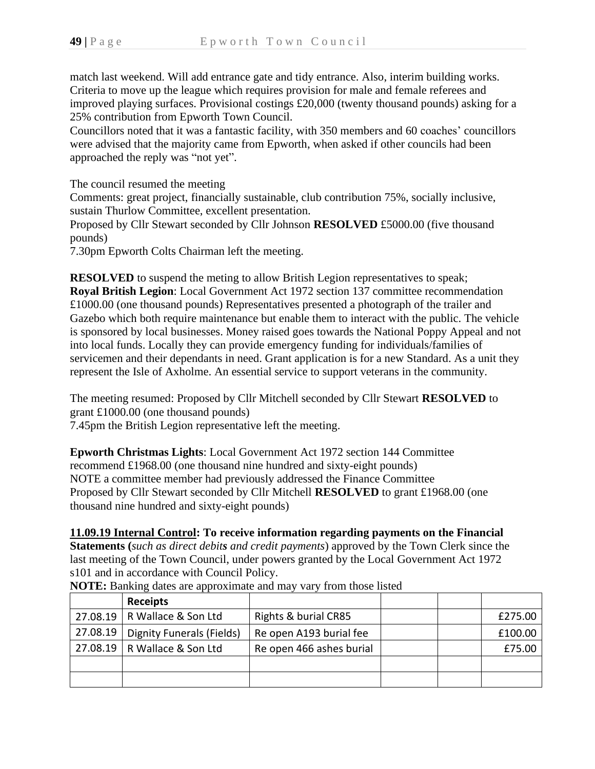match last weekend. Will add entrance gate and tidy entrance. Also, interim building works. Criteria to move up the league which requires provision for male and female referees and improved playing surfaces. Provisional costings £20,000 (twenty thousand pounds) asking for a 25% contribution from Epworth Town Council.

Councillors noted that it was a fantastic facility, with 350 members and 60 coaches' councillors were advised that the majority came from Epworth, when asked if other councils had been approached the reply was "not yet".

The council resumed the meeting

Comments: great project, financially sustainable, club contribution 75%, socially inclusive, sustain Thurlow Committee, excellent presentation.

Proposed by Cllr Stewart seconded by Cllr Johnson **RESOLVED** £5000.00 (five thousand pounds)

7.30pm Epworth Colts Chairman left the meeting.

**RESOLVED** to suspend the meting to allow British Legion representatives to speak; **Royal British Legion**: Local Government Act 1972 section 137 committee recommendation £1000.00 (one thousand pounds) Representatives presented a photograph of the trailer and Gazebo which both require maintenance but enable them to interact with the public. The vehicle is sponsored by local businesses. Money raised goes towards the National Poppy Appeal and not into local funds. Locally they can provide emergency funding for individuals/families of servicemen and their dependants in need. Grant application is for a new Standard. As a unit they represent the Isle of Axholme. An essential service to support veterans in the community.

The meeting resumed: Proposed by Cllr Mitchell seconded by Cllr Stewart **RESOLVED** to grant £1000.00 (one thousand pounds)

7.45pm the British Legion representative left the meeting.

**Epworth Christmas Lights**: Local Government Act 1972 section 144 Committee recommend £1968.00 (one thousand nine hundred and sixty-eight pounds) NOTE a committee member had previously addressed the Finance Committee Proposed by Cllr Stewart seconded by Cllr Mitchell **RESOLVED** to grant £1968.00 (one thousand nine hundred and sixty-eight pounds)

# **11.09.19 Internal Control: To receive information regarding payments on the Financial**

**Statements (***such as direct debits and credit payments*) approved by the Town Clerk since the last meeting of the Town Council, under powers granted by the Local Government Act 1972 s101 and in accordance with Council Policy.

|          | <b>Receipts</b>           |                          |  |         |
|----------|---------------------------|--------------------------|--|---------|
| 27.08.19 | R Wallace & Son Ltd       | Rights & burial CR85     |  | £275.00 |
| 27.08.19 | Dignity Funerals (Fields) | Re open A193 burial fee  |  | £100.00 |
| 27.08.19 | R Wallace & Son Ltd       | Re open 466 ashes burial |  | £75.00  |
|          |                           |                          |  |         |
|          |                           |                          |  |         |

**NOTE:** Banking dates are approximate and may vary from those listed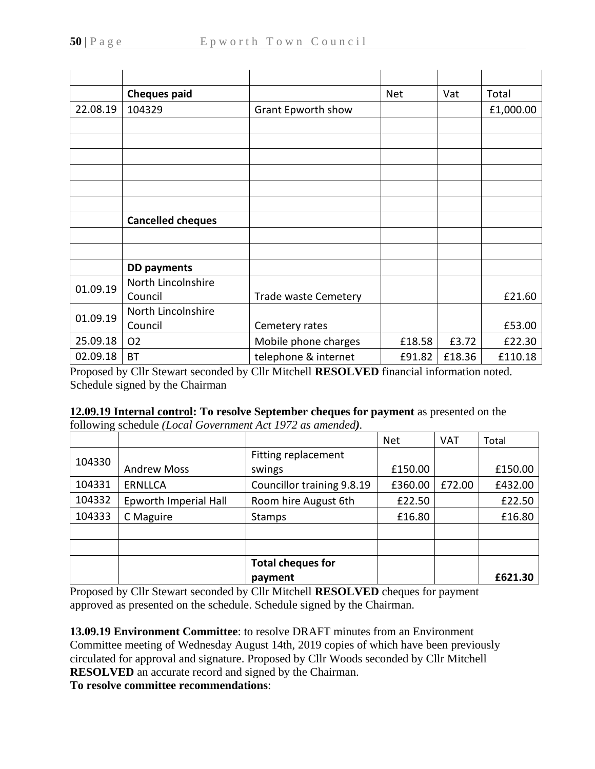|          | <b>Cheques paid</b>      |                                       | <b>Net</b> | Vat    | Total     |
|----------|--------------------------|---------------------------------------|------------|--------|-----------|
| 22.08.19 | 104329                   | Grant Epworth show                    |            |        | £1,000.00 |
|          |                          |                                       |            |        |           |
|          |                          |                                       |            |        |           |
|          |                          |                                       |            |        |           |
|          |                          |                                       |            |        |           |
|          |                          |                                       |            |        |           |
|          |                          |                                       |            |        |           |
|          | <b>Cancelled cheques</b> |                                       |            |        |           |
|          |                          |                                       |            |        |           |
|          |                          |                                       |            |        |           |
|          | <b>DD payments</b>       |                                       |            |        |           |
| 01.09.19 | North Lincolnshire       |                                       |            |        |           |
|          | Council                  | <b>Trade waste Cemetery</b>           |            |        | £21.60    |
| 01.09.19 | North Lincolnshire       |                                       |            |        |           |
|          | Council                  | Cemetery rates                        |            |        | £53.00    |
| 25.09.18 | O <sub>2</sub>           | Mobile phone charges                  | £18.58     | £3.72  | £22.30    |
| 02.09.18 | <b>BT</b><br>.           | telephone & internet<br>$- - - - - -$ | £91.82     | £18.36 | £110.18   |

Proposed by Cllr Stewart seconded by Cllr Mitchell **RESOLVED** financial information noted. Schedule signed by the Chairman

**12.09.19 Internal control: To resolve September cheques for payment** as presented on the following schedule *(Local Government Act 1972 as amended).*

|        |                       |                            | <b>Net</b> | <b>VAT</b> | Total   |
|--------|-----------------------|----------------------------|------------|------------|---------|
| 104330 |                       | Fitting replacement        |            |            |         |
|        | <b>Andrew Moss</b>    | swings                     | £150.00    |            | £150.00 |
| 104331 | <b>ERNLLCA</b>        | Councillor training 9.8.19 | £360.00    | £72.00     | £432.00 |
| 104332 | Epworth Imperial Hall | Room hire August 6th       | £22.50     |            | £22.50  |
| 104333 | C Maguire             | <b>Stamps</b>              | £16.80     |            | £16.80  |
|        |                       |                            |            |            |         |
|        |                       |                            |            |            |         |
|        |                       | <b>Total cheques for</b>   |            |            |         |
|        |                       | payment                    |            |            | £621.30 |

Proposed by Cllr Stewart seconded by Cllr Mitchell **RESOLVED** cheques for payment approved as presented on the schedule. Schedule signed by the Chairman.

**13.09.19 Environment Committee**: to resolve DRAFT minutes from an Environment Committee meeting of Wednesday August 14th, 2019 copies of which have been previously circulated for approval and signature. Proposed by Cllr Woods seconded by Cllr Mitchell **RESOLVED** an accurate record and signed by the Chairman.

**To resolve committee recommendations**: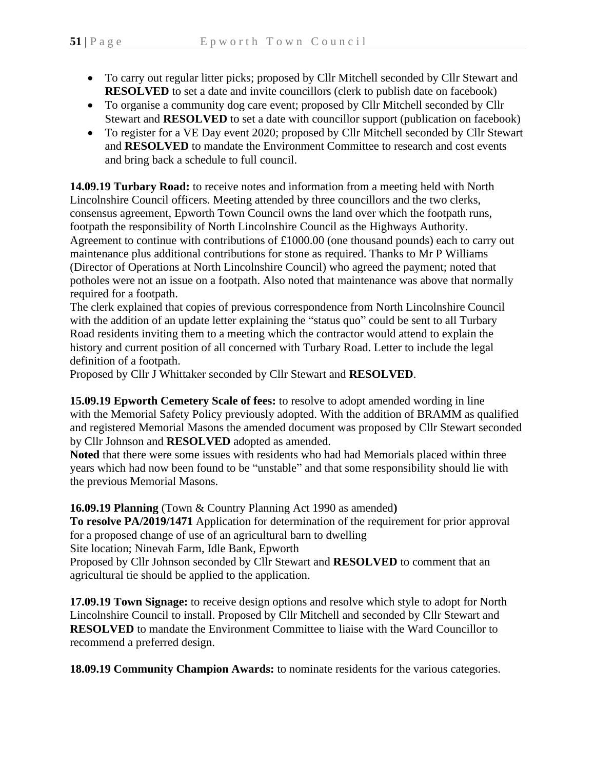- To carry out regular litter picks; proposed by Cllr Mitchell seconded by Cllr Stewart and **RESOLVED** to set a date and invite councillors (clerk to publish date on facebook)
- To organise a community dog care event; proposed by Cllr Mitchell seconded by Cllr Stewart and **RESOLVED** to set a date with councillor support (publication on facebook)
- To register for a VE Day event 2020; proposed by Cllr Mitchell seconded by Cllr Stewart and **RESOLVED** to mandate the Environment Committee to research and cost events and bring back a schedule to full council.

**14.09.19 Turbary Road:** to receive notes and information from a meeting held with North Lincolnshire Council officers. Meeting attended by three councillors and the two clerks, consensus agreement, Epworth Town Council owns the land over which the footpath runs, footpath the responsibility of North Lincolnshire Council as the Highways Authority. Agreement to continue with contributions of £1000.00 (one thousand pounds) each to carry out maintenance plus additional contributions for stone as required. Thanks to Mr P Williams (Director of Operations at North Lincolnshire Council) who agreed the payment; noted that potholes were not an issue on a footpath. Also noted that maintenance was above that normally required for a footpath.

The clerk explained that copies of previous correspondence from North Lincolnshire Council with the addition of an update letter explaining the "status quo" could be sent to all Turbary Road residents inviting them to a meeting which the contractor would attend to explain the history and current position of all concerned with Turbary Road. Letter to include the legal definition of a footpath.

Proposed by Cllr J Whittaker seconded by Cllr Stewart and **RESOLVED**.

**15.09.19 Epworth Cemetery Scale of fees:** to resolve to adopt amended wording in line with the Memorial Safety Policy previously adopted. With the addition of BRAMM as qualified and registered Memorial Masons the amended document was proposed by Cllr Stewart seconded by Cllr Johnson and **RESOLVED** adopted as amended.

**Noted** that there were some issues with residents who had had Memorials placed within three years which had now been found to be "unstable" and that some responsibility should lie with the previous Memorial Masons.

**16.09.19 Planning** (Town & Country Planning Act 1990 as amended**)**

**To resolve PA/2019/1471** Application for determination of the requirement for prior approval for a proposed change of use of an agricultural barn to dwelling Site location; Ninevah Farm, Idle Bank, Epworth

Proposed by Cllr Johnson seconded by Cllr Stewart and **RESOLVED** to comment that an agricultural tie should be applied to the application.

**17.09.19 Town Signage:** to receive design options and resolve which style to adopt for North Lincolnshire Council to install. Proposed by Cllr Mitchell and seconded by Cllr Stewart and **RESOLVED** to mandate the Environment Committee to liaise with the Ward Councillor to recommend a preferred design.

**18.09.19 Community Champion Awards:** to nominate residents for the various categories.